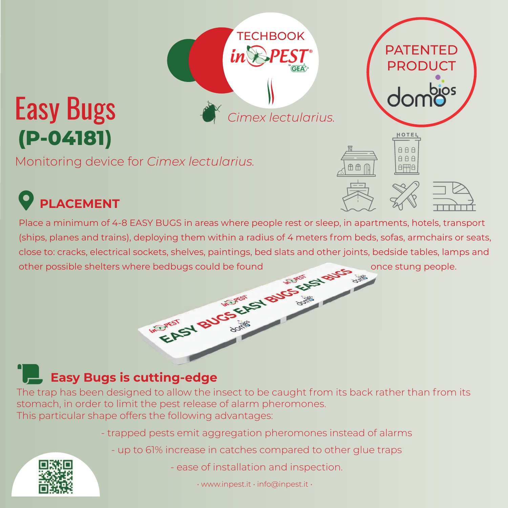## **(P-04181)** Easy Bugs

Monitoring device for *Cimex lectularius.*

## **PLACEMENT**

Place a minimum of 4-8 EASY BUGS in areas where people rest or sleep, in apartments, hotels, transport (ships, planes and trains), deploying them within a radius of 4 meters from beds, sofas, armchairs or seats, close to: cracks, electrical sockets, shelves, paintings, bed slats and other joints, bedside tables, lamps and<br>other possible shelters where bedbugs could be found<br>once stung people. other possible shelters where bedbugs could be found once stung people.

*Cimex lectularius.*

PATENTED **PRODUCT** 

> HOTEL AAA  $AA$

日平日

 $A$ 

**TECHBOOK** 

## **Easy Bugs is cutting-edge**

**W.P. PEST** 

The trap has been designed to allow the insect to be caught from its back rather than from its stomach, in order to limit the pest release of alarm pheromones. This particular shape offers the following advantages:

- trapped pests emit aggregation pheromones instead of alarms
	- up to 61% increase in catches compared to other glue traps



• www.inpest.it • info@inpest.it •

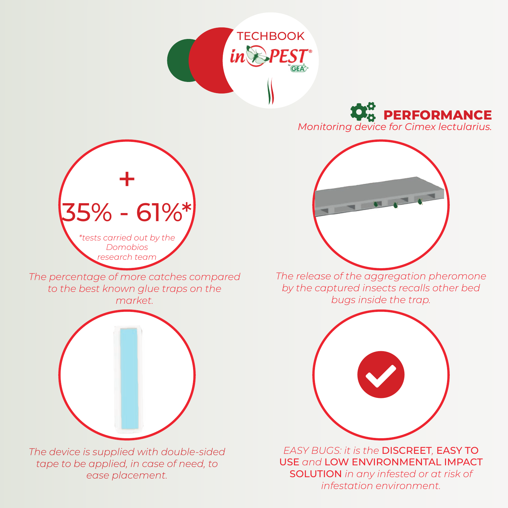



*Monitoring device for Cimex lectularius.*



*The release of the aggregation pheromone by the captured insects recalls other bed bugs inside the trap.*



*EASY BUGS: it is the* DISCREET*,* EASY TO USE *and* LOW ENVIRONMENTAL IMPACT SOLUTION *in any infested or at risk of infestation environment.*



*The percentage of more catches compared to the best known glue traps on the market.*



*The device is supplied with double-sided tape to be applied, in case of need, to ease placement.*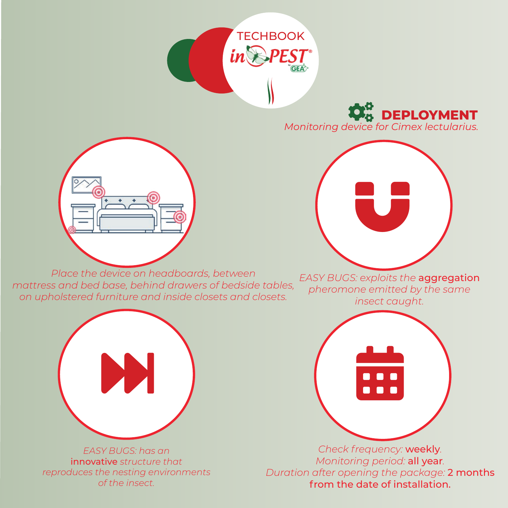



*Monitoring device for Cimex lectularius.*



*Place the device on headboards, between mattress and bed base, behind drawers of bedside tables, on upholstered furniture and inside closets and closets.*



*EASY BUGS: exploits the* aggregation *pheromone emitted by the same insect caught.*



*Check frequency:* weekly*. Monitoring period:* all year*. Duration after opening the package:* 2 months from the date of installation.



*EASY BUGS: has an*  innovative *structure that reproduces the nesting environments of the insect.*